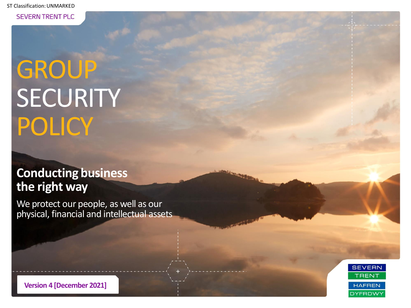**SEVERN TRENT PLC** 

# GROUP **SECURITY** POLICY

### **Conducting business the right way**

We protect our people, as well as our physical, financial and intellectual assets



**Version 4 [December 2021]**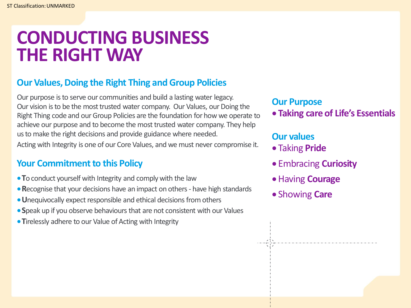### **CONDUCTING BUSINESS THE RIGHT WAY**

### **Our Values, Doing the Right Thing and Group Policies**

Our purpose is to serve our communities and build a lasting water legacy. Our vision is to be the most trusted water company. Our Values, our Doing the Right Thing code and our Group Policies are the foundation for how we operate to achieve our purpose and to become the most trusted water company. They help us to make the right decisions and provide guidance where needed. Acting with Integrity is one of our Core Values, and we must never compromise it.

### **Your Commitment to this Policy**

- •**T**o conduct yourself with Integrity and comply with the law
- •**R**ecognise that your decisions have an impact on others have high standards
- •**U**nequivocally expect responsible and ethical decisions from others
- •**S**peak up if you observe behaviours that are not consistent with our Values
- •**T**irelessly adhere to our Value of Acting with Integrity

### **Our Purpose**

• **Taking care of Life's Essentials**

### **Our values**

- Taking **Pride**
- Embracing **Curiosity**
- Having **Courage**
- Showing **Care**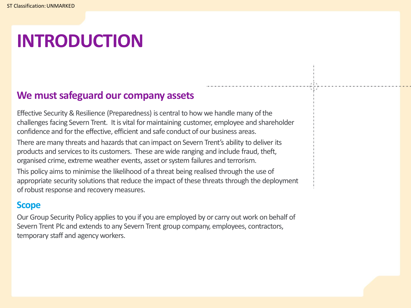## **INTRODUCTION**

### **We must safeguard our company assets**

Effective Security & Resilience (Preparedness) is central to how we handle many of the challenges facing Severn Trent. It is vital for maintaining customer, employee and shareholder confidence and for the effective, efficient and safe conduct of our business areas.

There are many threats and hazards that can impact on Severn Trent's ability to deliver its products and services to its customers. These are wide ranging and include fraud, theft, organised crime, extreme weather events, asset or system failures and terrorism.

This policy aims to minimise the likelihood of a threat being realised through the use of appropriate security solutions that reduce the impact of these threats through the deployment of robust response and recovery measures.

### **Scope**

Our Group Security Policy applies to you if you are employed by or carry out work on behalf of Severn Trent Plc and extends to any Severn Trent group company, employees, contractors, temporary staff and agency workers.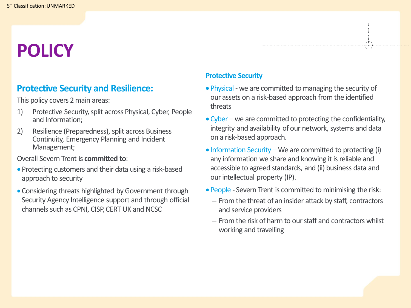## **POLICY**

### **Protective Security and Resilience:**

This policy covers 2 main areas:

- 1) Protective Security, split across Physical, Cyber, People and Information;
- 2) Resilience (Preparedness), split across Business Continuity, Emergency Planning and Incident Management;

#### Overall Severn Trent is **committed to**:

- Protecting customers and their data using a risk-based approach to security
- Considering threats highlighted by Government through Security Agency Intelligence support and through official channels such as CPNI, CISP, CERT UK and NCSC

#### **Protective Security**

• Physical - we are committed to managing the security of our assets on a risk-based approach from the identified threats

- Cyber we are committed to protecting the confidentiality, integrity and availability of our network, systems and data on a risk-based approach.
- Information Security We are committed to protecting (i) any information we share and knowing it is reliable and accessible to agreed standards, and (ii) business data and our intellectual property (IP).
- People Severn Trent is committed to minimising the risk:
	- From the threat of an insider attack by staff, contractors and service providers
	- From the risk of harm to our staff and contractors whilst working and travelling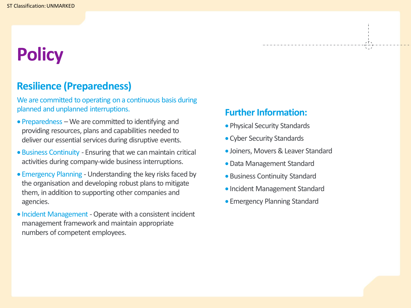## **Policy**

### **Resilience (Preparedness)**

We are committed to operating on a continuous basis during planned and unplanned interruptions.

- Preparedness We are committed to identifying and providing resources, plans and capabilities needed to deliver our essential services during disruptive events.
- Business Continuity Ensuring that we can maintain critical activities during company-wide business interruptions.
- Emergency Planning Understanding the key risks faced by the organisation and developing robust plans to mitigate them, in addition to supporting other companies and agencies.
- Incident Management -Operate with a consistent incident management framework and maintain appropriate numbers of competent employees.

### **Further Information:**

- Physical Security Standards
- Cyber Security Standards
- Joiners, Movers & Leaver Standard

- •Data Management Standard
- Business Continuity Standard
- Incident Management Standard
- Emergency Planning Standard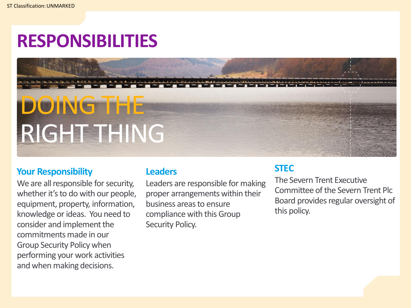## **RESPONSIBILITIES**

# DOING THE RIGHT THING

#### **Your Responsibility**

We are all responsible for security, whether it's to do with our people, equipment, property, information, knowledge or ideas. You need to consider and implement the commitments made in our Group Security Policy when performing your work activities and when making decisions.

#### **Leaders**

Leaders are responsible for making proper arrangements within their business areas to ensure compliance with this Group Security Policy.

#### **STEC**

The Severn Trent Executive Committee of the Severn Trent Plc Board provides regular oversight of this policy.